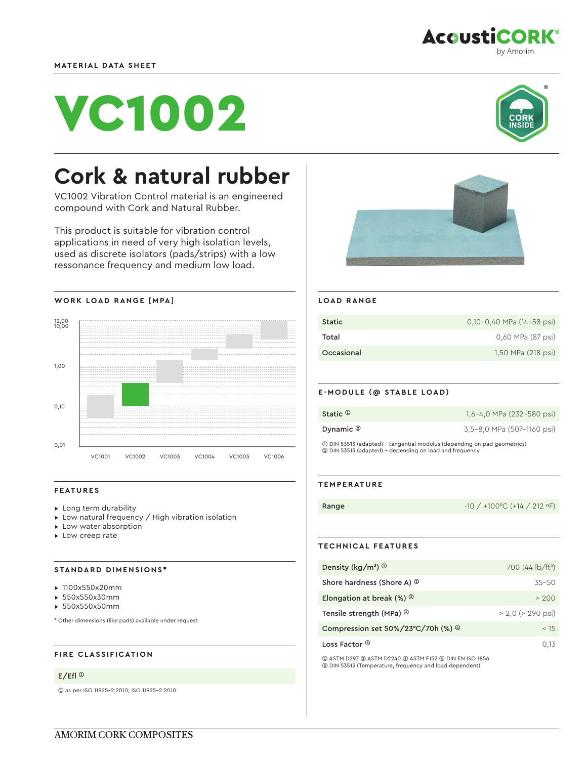

**AcoustiCORK®** 

# VC1002



# **Cork & natural rubber**

VC1002 Vibration Control material is an engineered compound with Cork and Natural Rubber.

This product is suitable for vibration control applications in need of very high isolation levels, used as discrete isolators (pads/strips) with a low ressonance frequency and medium low load.





# **FEATURES**

- ▸ Long term durability
- ▸ Low natural frequency / High vibration isolation
- ▸ Low water absorption
- ▸ Low creep rate

# **STANDARD DIMENSIONS\***

- ▸ 1100x550x20mm
- ▸ 550x550x30mm
- ▸ 550x550x50mm

\* Other dimensions (like pads) available under request

# **FIRE CLASSIFICATION**

#### E/Efl ➀

➀ as per ISO 11925-2:2010; ISO 11925-2:2010



### **LOAD RANGE**

| Static     | 0,10-0,40 MPa (14-58 psi) |
|------------|---------------------------|
| Total      | 0.60 MPa (87 psi)         |
| Occasional | 1,50 MPa (218 psi)        |

#### **E-MODULE (@ STABLE LOAD)**

| Static <sup>1</sup>                                                      | 1,6-4,0 MPa (232-580 psi)  |
|--------------------------------------------------------------------------|----------------------------|
| Dynamic $\circledcirc$                                                   | 3.5-8.0 MPa (507-1160 psi) |
| 1 DIN 53513 (adapted) – tangential modulus (depending on pad geometrics) |                            |

➁ DIN 53513 (adapted) - depending on load and frequency

## **TEMPERATURE**

Range -10 / +100 °C (+14 / 212 °F)

# **TECHNICAL FEATURES**

| Density ( $\text{kg/m}^3$ ) $\textcircled{1}$         | 700 $(44 \text{ lb/ft}^3)$ |
|-------------------------------------------------------|----------------------------|
| Shore hardness (Shore A) <sup>2</sup>                 | $35 - 50$                  |
| Elongation at break $(\%)$ <sup>3</sup>               | > 200                      |
| Tensile strength (MPa) <sup>3</sup>                   | $> 2.0$ ( $> 290$ psi)     |
| Compression set $50\%/23^{\circ}C/70h$ (%) $^{\circ}$ | < 15                       |
| Loss Factor ®                                         | 0.13                       |

➀ ASTM D297 ➁ ASTM D2240 ➂ ASTM F152 ➃ DIN EN ISO 1856 ➄ DIN 53513 (Temperature, frequency and load dependent)